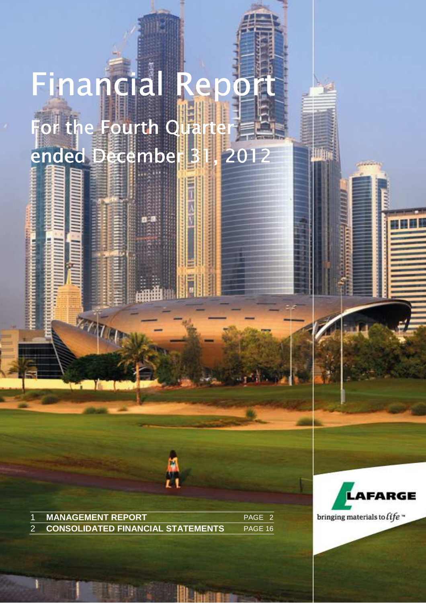# Financial Repo For the Fourth Quart ended December 31, 2012

**Millian** 

**MANAGEMENT REPORT PAGE 2** 2 **CONSOLIDATED FINANCIAL STATEMENTS** PAGE 16

**ETT** 



bringing materials to  $\hat{t}$ fe »

LAFARGE | FINANCIAL REPORT AT DECEMBER 31, 2012 | PAGE 1

Latin

MANAGEMENT REPORT **1**

**I lin**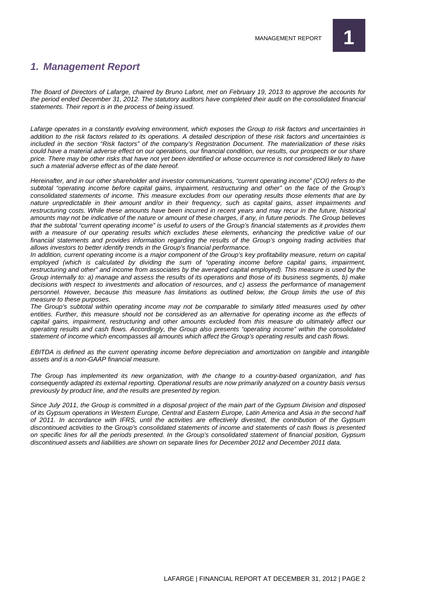

#### **1. Management Report**

The Board of Directors of Lafarge, chaired by Bruno Lafont, met on February 19, 2013 to approve the accounts for the period ended December 31, 2012. The statutory auditors have completed their audit on the consolidated financial statements. Their report is in the process of being issued.

Lafarge operates in a constantly evolving environment, which exposes the Group to risk factors and uncertainties in addition to the risk factors related to its operations. A detailed description of these risk factors and uncertainties is included in the section "Risk factors" of the company's Registration Document. The materialization of these risks could have a material adverse effect on our operations, our financial condition, our results, our prospects or our share price. There may be other risks that have not yet been identified or whose occurrence is not considered likely to have such a material adverse effect as of the date hereof.

Hereinafter, and in our other shareholder and investor communications, "current operating income" (COI) refers to the subtotal "operating income before capital gains, impairment, restructuring and other" on the face of the Group's consolidated statements of income. This measure excludes from our operating results those elements that are by nature unpredictable in their amount and/or in their frequency, such as capital gains, asset impairments and restructuring costs. While these amounts have been incurred in recent years and may recur in the future, historical amounts may not be indicative of the nature or amount of these charges, if any, in future periods. The Group believes that the subtotal "current operating income" is useful to users of the Group's financial statements as it provides them with a measure of our operating results which excludes these elements, enhancing the predictive value of our financial statements and provides information regarding the results of the Group's ongoing trading activities that allows investors to better identify trends in the Group's financial performance.

In addition, current operating income is a major component of the Group's key profitability measure, return on capital employed (which is calculated by dividing the sum of "operating income before capital gains, impairment, restructuring and other" and income from associates by the averaged capital employed). This measure is used by the Group internally to: a) manage and assess the results of its operations and those of its business segments, b) make decisions with respect to investments and allocation of resources, and c) assess the performance of management personnel. However, because this measure has limitations as outlined below, the Group limits the use of this measure to these purposes.

The Group's subtotal within operating income may not be comparable to similarly titled measures used by other entities. Further, this measure should not be considered as an alternative for operating income as the effects of capital gains, impairment, restructuring and other amounts excluded from this measure do ultimately affect our operating results and cash flows. Accordingly, the Group also presents "operating income" within the consolidated statement of income which encompasses all amounts which affect the Group's operating results and cash flows.

EBITDA is defined as the current operating income before depreciation and amortization on tangible and intangible assets and is a non-GAAP financial measure.

The Group has implemented its new organization, with the change to a country-based organization, and has consequently adapted its external reporting. Operational results are now primarily analyzed on a country basis versus previously by product line, and the results are presented by region.

Since July 2011, the Group is committed in a disposal project of the main part of the Gypsum Division and disposed of its Gypsum operations in Western Europe, Central and Eastern Europe, Latin America and Asia in the second half of 2011. In accordance with IFRS, until the activities are effectively divested, the contribution of the Gypsum discontinued activities to the Group's consolidated statements of income and statements of cash flows is presented on specific lines for all the periods presented. In the Group's consolidated statement of financial position, Gypsum discontinued assets and liabilities are shown on separate lines for December 2012 and December 2011 data.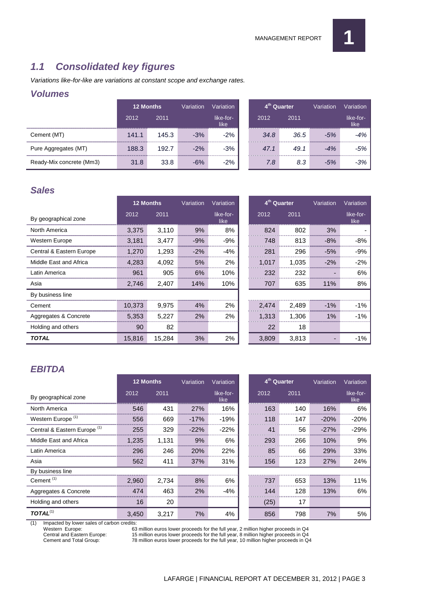

#### **1.1 Consolidated key figures**

Variations like-for-like are variations at constant scope and exchange rates.

#### **Volumes**

|                          | <b>12 Months</b> |       | Variation | Variation ˈ       |      | 4 <sup>th</sup> Quarter | Variation | Variation         |
|--------------------------|------------------|-------|-----------|-------------------|------|-------------------------|-----------|-------------------|
|                          | 2012             | 2011  |           | like-for-<br>like | 2012 | 2011                    |           | like-for-<br>like |
| Cement (MT)              | 141.1            | 145.3 | $-3%$     | $-2\%$            | 34.8 | 36.5                    | $-5%$     | 4%                |
| Pure Aggregates (MT)     | 188.3            | 192.7 | $-2%$     | $-3%$             | 47.1 | 49.1                    |           | -5%               |
| Ready-Mix concrete (Mm3) | 31.8             | 33.8  | $-6%$     | $-2%$             | 7.8  | 8.3                     |           | .3%               |

#### **Sales**

|                          | <b>12 Months</b> |        | Variation | Variation         | 4 <sup>th</sup> Quarter |       | Variation | Variation         |
|--------------------------|------------------|--------|-----------|-------------------|-------------------------|-------|-----------|-------------------|
| By geographical zone     | 2012             | 2011   |           | like-for-<br>like | 2012                    | 2011  |           | like-for-<br>like |
| North America            | 3.375            | 3.110  | 9%        | 8%                | 824                     | 802   | 3%        |                   |
| Western Europe           | 3,181            | 3,477  | $-9%$     | -9%               | 748                     | 813   | $-8%$     | -8%               |
| Central & Eastern Europe | 1.270            | 1.293  | $-2%$     | $-4%$             | 281                     | 296   | $-5%$     | -9%               |
| Middle East and Africa   | 4.283            | 4,092  | 5%        | 2%                | 1,017                   | 1,035 | $-2%$     | $-2\%$            |
| Latin America            | 961              | 905    | 6%        | 10%               | 232                     | 232   |           | 6%                |
| Asia                     | 2,746            | 2,407  | 14%       | 10%               | 707                     | 635   | 11%       | 8%                |
| By business line         |                  |        |           |                   |                         |       |           |                   |
| Cement                   | 10.373           | 9,975  | 4%        | 2%                | 2.474                   | 2,489 | $-1\%$    | $-1%$             |
| Aggregates & Concrete    | 5.353            | 5.227  | 2%        | 2%                | 1.313                   | 1.306 | $1\%$     | $-1\%$            |
| Holding and others       | 90               | 82     |           |                   | 22                      | 18    |           |                   |
| <b>TOTAL</b>             | 15,816           | 15,284 | 3%        | 2%                | 3,809                   | 3,813 |           | $-1\%$            |

#### **EBITDA**

|                                         | <b>12 Months</b> |       | Variation       | Variation         | 4 <sup>th</sup> Quarter |      | Variation  | Variation         |
|-----------------------------------------|------------------|-------|-----------------|-------------------|-------------------------|------|------------|-------------------|
| By geographical zone                    | 2012             | 2011  |                 | like-for-<br>like | 2012                    | 2011 |            | like-for-<br>like |
| North America                           | 546              | 431   | 27%             | 16%               | 163                     | 140  | 16%        | 6%                |
| Western Europe <sup>(1)</sup>           | 556              | 669   | -17%            | $-19%$            | 118                     | 147  | $-20%$     | $-20%$            |
| Central & Eastern Europe <sup>(1)</sup> | 255              | 329   | $-22\%$         | $-22%$            | 41                      | 56   | $-27%$     | $-29%$            |
| Middle East and Africa                  | 1.235            | 1.131 | 9%              | 6%                | 293                     | 266  | 10%        | 9%                |
| Latin America                           | 296              | 246   | 20 <sub>%</sub> | 22%               | 85                      | 66   | 29%        | 33%               |
| Asia                                    | 562              | 411   | 37%             | 31%               | 156                     | 123  | <b>27%</b> | 24%               |
| By business line                        |                  |       |                 |                   |                         |      |            |                   |
| Cement $(1)$                            | 2.960            | 2.734 | 8%              | 6%                | 737                     | 653  | 13%        | 11%               |
| Aggregates & Concrete                   | 474              | 463   | 2%              | $-4%$             | 144                     | 128  | 13%        | 6%                |
| Holding and others                      | 16               | 20    |                 |                   | (25)                    | 17   |            |                   |
| $\mathcal{I}$ OTAL $^{(1)}$             | 3,450            | 3,217 | 7%              | 4%                | 856                     | 798  | 7%         | 5%                |

(1) Impacted by lower sales of carbon credits:

Western Europe: 63 million euros lower proceeds for the full year, 2 million higher proceeds in Q4<br>Central and Eastern Europe: 15 million euros lower proceeds for the full year, 8 million higher proceeds in Q4

Central and Eastern Europe: 15 million euros lower proceeds for the full year, 8 million higher proceeds in Q4<br>Cement and Total Group: 78 million euros lower proceeds for the full year, 10 million higher proceeds in Q 78 million euros lower proceeds for the full year, 10 million higher proceeds in Q4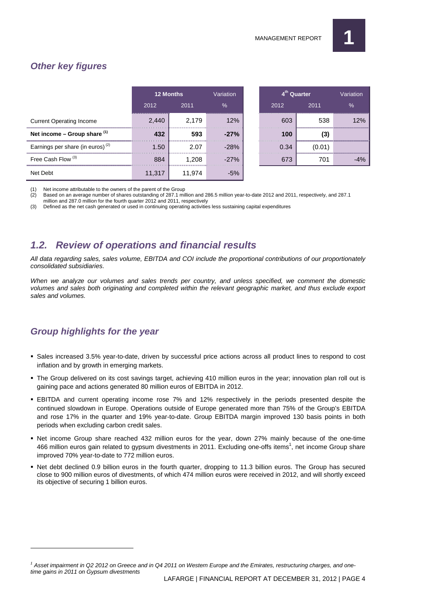#### **Other key figures**

|                                              | <b>12 Months</b>                           |        | Variation                              | 4 <sup>th</sup> Quarter |        | Variation |
|----------------------------------------------|--------------------------------------------|--------|----------------------------------------|-------------------------|--------|-----------|
|                                              | 2012                                       | 2011   | $\%$                                   | 2012                    | 2011   | $\%$      |
| <b>Current Operating Income</b>              | ,,,,,,,,,,,,,,,,,,,,,,,,,,,,,,,,,<br>2,440 | 2.179  | ,,,,,,,,,,,,,,,,,,,,,,,,,,,,,,,<br>12% | 603                     | 538    | 2%        |
| Net income - Group share (1)                 |                                            | 593    | $-27%$                                 | 100                     |        |           |
| Earnings per share (in euros) <sup>(2)</sup> | .50                                        | 2.07   | $-28%$                                 | 0.34                    | (0.01) |           |
| Free Cash Flow <sup>(3)</sup>                | 884                                        | 1.208  | $-27%$                                 | 673                     | 701    | $-4%$     |
| Net Deht                                     | 11.317                                     | 11.974 | $-5%$                                  |                         |        |           |

| <b>12 Months</b> |         | Variation | 4 <sup>th</sup> Quarter |        | Variation |  |
|------------------|---------|-----------|-------------------------|--------|-----------|--|
| 2012             | 2011    | $\%$      | 2012                    | 2011   | $\%$      |  |
| 2,440            | 2,179   | 12%       | 603                     | 538    | 12%       |  |
| .<br>432<br>     | 593<br> | $-27%$    | 100                     | (3)    |           |  |
| 1.50             | 2.07    | $-28%$    | 0.34                    | (0.01) |           |  |
| 884<br>          | 1,208   | $-27%$    | 673                     | 701    |           |  |

(1) Net income attributable to the owners of the parent of the Group

(2) Based on an average number of shares outstanding of 287.1 million and 286.5 million year-to-date 2012 and 2011, respectively, and 287.1

million and 287.0 million for the fourth quarter 2012 and 2011, respectively

(3) Defined as the net cash generated or used in continuing operating activities less sustaining capital expenditures

#### **1.2. Review of operations and financial results**

All data regarding sales, sales volume, EBITDA and COI include the proportional contributions of our proportionately consolidated subsidiaries.

When we analyze our volumes and sales trends per country, and unless specified, we comment the domestic volumes and sales both originating and completed within the relevant geographic market, and thus exclude export sales and volumes.

#### **Group highlights for the year**

 $\overline{a}$ 

- Sales increased 3.5% year-to-date, driven by successful price actions across all product lines to respond to cost inflation and by growth in emerging markets.
- The Group delivered on its cost savings target, achieving 410 million euros in the year; innovation plan roll out is gaining pace and actions generated 80 million euros of EBITDA in 2012.
- EBITDA and current operating income rose 7% and 12% respectively in the periods presented despite the continued slowdown in Europe. Operations outside of Europe generated more than 75% of the Group's EBITDA and rose 17% in the quarter and 19% year-to-date. Group EBITDA margin improved 130 basis points in both periods when excluding carbon credit sales.
- Net income Group share reached 432 million euros for the year, down 27% mainly because of the one-time 466 million euros gain related to gypsum divestments in 2011. Excluding one-offs items<sup>1</sup>, net income Group share improved 70% year-to-date to 772 million euros.
- Net debt declined 0.9 billion euros in the fourth quarter, dropping to 11.3 billion euros. The Group has secured close to 900 million euros of divestments, of which 474 million euros were received in 2012, and will shortly exceed its objective of securing 1 billion euros.

<sup>&</sup>lt;sup>1</sup> Asset impairment in Q2 2012 on Greece and in Q4 2011 on Western Europe and the Emirates, restructuring charges, and onetime gains in 2011 on Gypsum divestments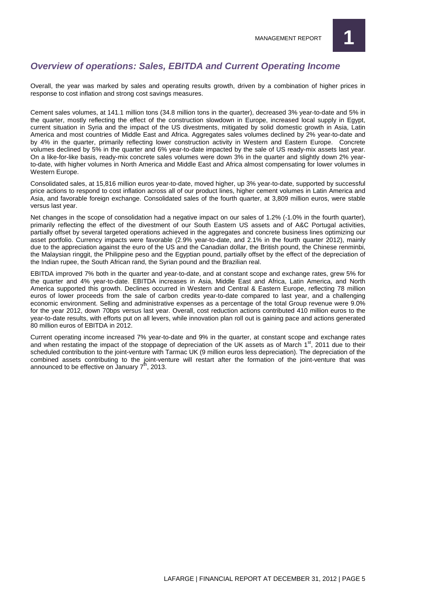

#### **Overview of operations: Sales, EBITDA and Current Operating Income**

Overall, the year was marked by sales and operating results growth, driven by a combination of higher prices in response to cost inflation and strong cost savings measures.

Cement sales volumes, at 141.1 million tons (34.8 million tons in the quarter), decreased 3% year-to-date and 5% in the quarter, mostly reflecting the effect of the construction slowdown in Europe, increased local supply in Egypt, current situation in Syria and the impact of the US divestments, mitigated by solid domestic growth in Asia, Latin America and most countries of Middle East and Africa. Aggregates sales volumes declined by 2% year-to-date and by 4% in the quarter, primarily reflecting lower construction activity in Western and Eastern Europe. Concrete volumes declined by 5% in the quarter and 6% year-to-date impacted by the sale of US ready-mix assets last year. On a like-for-like basis, ready-mix concrete sales volumes were down 3% in the quarter and slightly down 2% yearto-date, with higher volumes in North America and Middle East and Africa almost compensating for lower volumes in Western Europe.

Consolidated sales, at 15,816 million euros year-to-date, moved higher, up 3% year-to-date, supported by successful price actions to respond to cost inflation across all of our product lines, higher cement volumes in Latin America and Asia, and favorable foreign exchange. Consolidated sales of the fourth quarter, at 3,809 million euros, were stable versus last year.

Net changes in the scope of consolidation had a negative impact on our sales of 1.2% (-1.0% in the fourth quarter), primarily reflecting the effect of the divestment of our South Eastern US assets and of A&C Portugal activities, partially offset by several targeted operations achieved in the aggregates and concrete business lines optimizing our asset portfolio. Currency impacts were favorable (2.9% year-to-date, and 2.1% in the fourth quarter 2012), mainly due to the appreciation against the euro of the US and the Canadian dollar, the British pound, the Chinese renminbi, the Malaysian ringgit, the Philippine peso and the Egyptian pound, partially offset by the effect of the depreciation of the Indian rupee, the South African rand, the Syrian pound and the Brazilian real.

EBITDA improved 7% both in the quarter and year-to-date, and at constant scope and exchange rates, grew 5% for the quarter and 4% year-to-date. EBITDA increases in Asia, Middle East and Africa, Latin America, and North America supported this growth. Declines occurred in Western and Central & Eastern Europe, reflecting 78 million euros of lower proceeds from the sale of carbon credits year-to-date compared to last year, and a challenging economic environment. Selling and administrative expenses as a percentage of the total Group revenue were 9.0% for the year 2012, down 70bps versus last year. Overall, cost reduction actions contributed 410 million euros to the year-to-date results, with efforts put on all levers, while innovation plan roll out is gaining pace and actions generated 80 million euros of EBITDA in 2012.

Current operating income increased 7% year-to-date and 9% in the quarter, at constant scope and exchange rates and when restating the impact of the stoppage of depreciation of the UK assets as of March 1st, 2011 due to their scheduled contribution to the joint-venture with Tarmac UK (9 million euros less depreciation). The depreciation of the combined assets contributing to the joint-venture will restart after the formation of the joint-venture that was announced to be effective on January  $7<sup>th</sup>$ , 2013.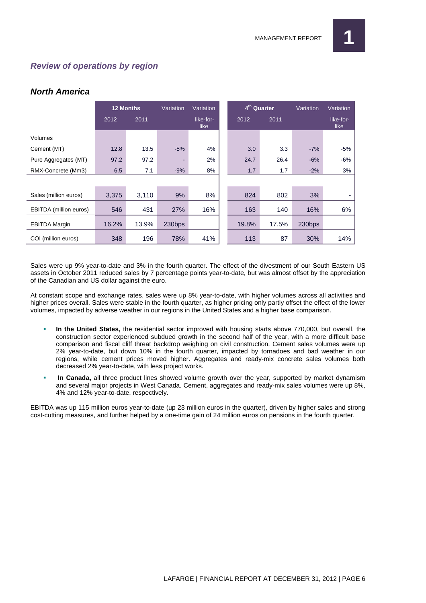#### **Review of operations by region**

#### **North America**

|                        | <b>12 Months</b> |       | Variation | Variation         | 4 <sup>th</sup> Quarter |       | Variation | Variation         |
|------------------------|------------------|-------|-----------|-------------------|-------------------------|-------|-----------|-------------------|
|                        | 2012             | 2011  |           | like-for-<br>like | 2012                    | 2011  |           | like-for-<br>like |
| Volumes                |                  |       |           |                   |                         |       |           |                   |
| Cement (MT)            | 12.8             | 13.5  | $-5%$     | 4%                | 3.0                     | 3.3   | $-7%$     | $-5%$             |
| Pure Aggregates (MT)   | 97.2             | 97.2  |           | 2%                | 24.7                    | 26.4  | $-6%$     | $-6%$             |
| RMX-Concrete (Mm3)     | 6.5              | 7.1   | $-9%$     | 8%                | 1.7                     | 1.7   | $-2%$     | 3%                |
|                        |                  |       |           |                   |                         |       |           |                   |
| Sales (million euros)  | 3,375            | 3,110 | 9%        | 8%                | 824                     | 802   | 3%        |                   |
| EBITDA (million euros) | 546              | 431   | 27%       | 16%               | 163                     | 140   | 16%       | 6%                |
| <b>EBITDA Margin</b>   | 16.2%            | 13.9% | 230bps    |                   | 19.8%                   | 17.5% | 230bps    |                   |
| COI (million euros)    | 348              | 196   | 78%       | 41%               | 113                     | 87    | 30%       | 14%               |

Sales were up 9% year-to-date and 3% in the fourth quarter. The effect of the divestment of our South Eastern US assets in October 2011 reduced sales by 7 percentage points year-to-date, but was almost offset by the appreciation of the Canadian and US dollar against the euro.

At constant scope and exchange rates, sales were up 8% year-to-date, with higher volumes across all activities and higher prices overall. Sales were stable in the fourth quarter, as higher pricing only partly offset the effect of the lower volumes, impacted by adverse weather in our regions in the United States and a higher base comparison.

- **In the United States,** the residential sector improved with housing starts above 770,000, but overall, the construction sector experienced subdued growth in the second half of the year, with a more difficult base comparison and fiscal cliff threat backdrop weighing on civil construction. Cement sales volumes were up 2% year-to-date, but down 10% in the fourth quarter, impacted by tornadoes and bad weather in our regions, while cement prices moved higher. Aggregates and ready-mix concrete sales volumes both decreased 2% year-to-date, with less project works.
- **In Canada,** all three product lines showed volume growth over the year, supported by market dynamism and several major projects in West Canada. Cement, aggregates and ready-mix sales volumes were up 8%, 4% and 12% year-to-date, respectively.

EBITDA was up 115 million euros year-to-date (up 23 million euros in the quarter), driven by higher sales and strong cost-cutting measures, and further helped by a one-time gain of 24 million euros on pensions in the fourth quarter.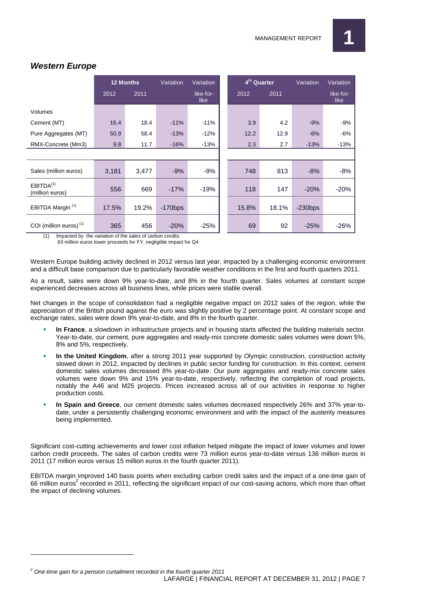

|                                          | <b>12 Months</b> |       | Variation  | Variation         |       | 4 <sup>th</sup> Quarter | Variation  | Variation         |
|------------------------------------------|------------------|-------|------------|-------------------|-------|-------------------------|------------|-------------------|
|                                          | 2012             | 2011  |            | like-for-<br>like | 2012  | 2011                    |            | like-for-<br>like |
| Volumes                                  |                  |       |            |                   |       |                         |            |                   |
| Cement (MT)                              | 16.4             | 18.4  | $-11%$     | $-11%$            | 3.9   | 4.2                     | $-9%$      | $-9%$             |
| Pure Aggregates (MT)                     | 50.9             | 58.4  | $-13%$     | $-12%$            | 12.2  | 12.9                    | $-6%$      | $-6%$             |
| RMX-Concrete (Mm3)                       | 9.8              | 11.7  | $-16%$     | $-13%$            | 2.3   | 2.7                     | $-13%$     | $-13%$            |
|                                          |                  |       |            |                   |       |                         |            |                   |
| Sales (million euros)                    | 3,181            | 3,477 | $-9%$      | $-9%$             | 748   | 813                     | $-8%$      | $-8%$             |
| EBITDA <sup>(1)</sup><br>(million euros) | 556              | 669   | $-17%$     | $-19%$            | 118   | 147                     | $-20%$     | $-20%$            |
| EBITDA Margin <sup>(1)</sup>             | 17.5%            | 19.2% | $-170$ bps |                   | 15.8% | 18.1%                   | $-230$ bps |                   |
| COI (million euros) <sup>(1)</sup>       | 365              | 456   | $-20%$     | $-25%$            | 69    | 92                      | $-25%$     | $-26%$            |

#### **Western Europe**

(1) Impacted by the variation of the sales of carbon credits:

63 million euros lower proceeds for FY, negligible impact for Q4

Western Europe building activity declined in 2012 versus last year, impacted by a challenging economic environment and a difficult base comparison due to particularly favorable weather conditions in the first and fourth quarters 2011.

As a result, sales were down 9% year-to-date, and 8% in the fourth quarter. Sales volumes at constant scope experienced decreases across all business lines, while prices were stable overall.

Net changes in the scope of consolidation had a negligible negative impact on 2012 sales of the region, while the appreciation of the British pound against the euro was slightly positive by 2 percentage point. At constant scope and exchange rates, sales were down 9% year-to-date, and 8% in the fourth quarter.

- **In France**, a slowdown in infrastructure projects and in housing starts affected the building materials sector. Year-to-date, our cement, pure aggregates and ready-mix concrete domestic sales volumes were down 5%, 8% and 5%, respectively.
- **In the United Kingdom**, after a strong 2011 year supported by Olympic construction, construction activity slowed down in 2012, impacted by declines in public sector funding for construction. In this context, cement domestic sales volumes decreased 8% year-to-date. Our pure aggregates and ready-mix concrete sales volumes were down 9% and 15% year-to-date, respectively, reflecting the completion of road projects, notably the A46 and M25 projects. Prices increased across all of our activities in response to higher production costs.
- **In Spain and Greece**, our cement domestic sales volumes decreased respectively 26% and 37% year-todate, under a persistently challenging economic environment and with the impact of the austerity measures being implemented.

Significant cost-cutting achievements and lower cost inflation helped mitigate the impact of lower volumes and lower carbon credit proceeds. The sales of carbon credits were 73 million euros year-to-date versus 136 million euros in 2011 (17 million euros versus 15 million euros in the fourth quarter 2011).

EBITDA margin improved 140 basis points when excluding carbon credit sales and the impact of a one-time gain of 66 million euros<sup>2</sup> recorded in 2011, reflecting the significant impact of our cost-saving actions, which more than offset the impact of declining volumes.

 $\overline{a}$ 

 $2^{2}$  One-time gain for a pension curtailment recorded in the fourth quarter 2011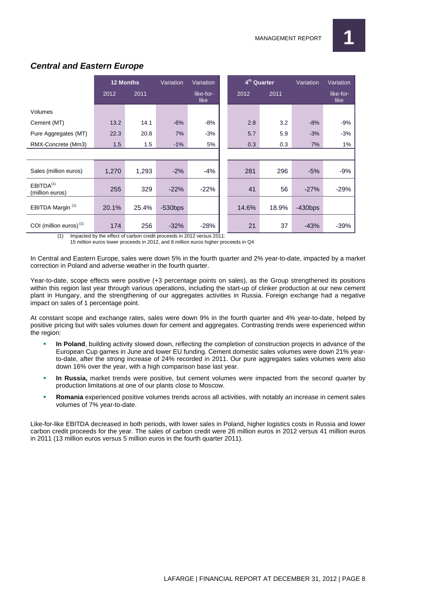

|                                          | <b>12 Months</b> |       | Variation  | Variation         | 4 <sup>th</sup> Quarter |       | Variation | Variation         |
|------------------------------------------|------------------|-------|------------|-------------------|-------------------------|-------|-----------|-------------------|
|                                          | 2012             | 2011  |            | like-for-<br>like | 2012                    | 2011  |           | like-for-<br>like |
| Volumes                                  |                  |       |            |                   |                         |       |           |                   |
| Cement (MT)                              | 13.2             | 14.1  | $-6%$      | $-8%$             | 2.8                     | 3.2   | $-8%$     | $-9%$             |
| Pure Aggregates (MT)                     | 22.3             | 20.8  | 7%         | $-3%$             | 5.7                     | 5.9   | $-3%$     | $-3%$             |
| RMX-Concrete (Mm3)                       | 1.5              | 1.5   | $-1%$      | 5%                | 0.3                     | 0.3   | 7%        | $1\%$             |
|                                          |                  |       |            |                   |                         |       |           |                   |
| Sales (million euros)                    | 1,270            | 1,293 | $-2%$      | $-4%$             | 281                     | 296   | $-5%$     | $-9%$             |
| EBITDA <sup>(1)</sup><br>(million euros) | 255              | 329   | $-22%$     | $-22%$            | 41                      | 56    | $-27%$    | $-29%$            |
| EBITDA Margin <sup>(1)</sup>             | 20.1%            | 25.4% | $-530$ bps |                   | 14.6%                   | 18.9% | $-430bps$ |                   |
| COI (million euros) <sup>(1)</sup>       | 174              | 256   | $-32%$     | $-28%$            | 21                      | 37    | $-43%$    | $-39%$            |

#### **Central and Eastern Europe**

(1) Impacted by the effect of carbon credit proceeds in 2012 versus 2011: 15 million euros lower proceeds in 2012, and 8 million euros higher proceeds in Q4

In Central and Eastern Europe, sales were down 5% in the fourth quarter and 2% year-to-date, impacted by a market correction in Poland and adverse weather in the fourth quarter.

Year-to-date, scope effects were positive (+3 percentage points on sales), as the Group strengthened its positions within this region last year through various operations, including the start-up of clinker production at our new cement plant in Hungary, and the strengthening of our aggregates activities in Russia. Foreign exchange had a negative impact on sales of 1 percentage point.

At constant scope and exchange rates, sales were down 9% in the fourth quarter and 4% year-to-date, helped by positive pricing but with sales volumes down for cement and aggregates. Contrasting trends were experienced within the region:

- **In Poland**, building activity slowed down, reflecting the completion of construction projects in advance of the European Cup games in June and lower EU funding. Cement domestic sales volumes were down 21% yearto-date, after the strong increase of 24% recorded in 2011. Our pure aggregates sales volumes were also down 16% over the year, with a high comparison base last year.
- **In Russia,** market trends were positive, but cement volumes were impacted from the second quarter by production limitations at one of our plants close to Moscow.
- **Romania** experienced positive volumes trends across all activities, with notably an increase in cement sales volumes of 7% year-to-date.

Like-for-like EBITDA decreased in both periods, with lower sales in Poland, higher logistics costs in Russia and lower carbon credit proceeds for the year. The sales of carbon credit were 26 million euros in 2012 versus 41 million euros in 2011 (13 million euros versus 5 million euros in the fourth quarter 2011).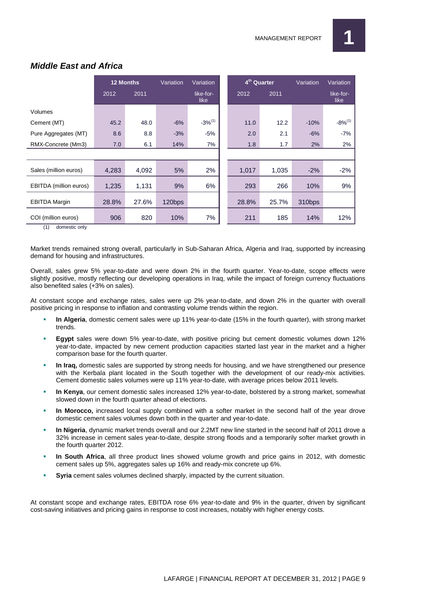

|                                            | <b>12 Months</b> |       | Variation | Variation         |  | 4 <sup>th</sup> Quarter |       | Variation | Variation         |
|--------------------------------------------|------------------|-------|-----------|-------------------|--|-------------------------|-------|-----------|-------------------|
|                                            | 2012             | 2011  |           | like-for-<br>like |  | 2012                    | 2011  |           | like-for-<br>like |
| Volumes                                    |                  |       |           |                   |  |                         |       |           |                   |
| Cement (MT)                                | 45.2             | 48.0  | $-6%$     | $-3%^{(1)}$       |  | 11.0                    | 12.2  | $-10%$    | $-8\%^{(1)}$      |
| Pure Aggregates (MT)                       | 8.6              | 8.8   | $-3%$     | $-5%$             |  | 2.0                     | 2.1   | $-6%$     | $-7%$             |
| RMX-Concrete (Mm3)                         | 7.0              | 6.1   | 14%       | 7%                |  | 1.8                     | 1.7   | 2%        | 2%                |
|                                            |                  |       |           |                   |  |                         |       |           |                   |
| Sales (million euros)                      | 4,283            | 4,092 | 5%        | 2%                |  | 1,017                   | 1,035 | $-2%$     | $-2%$             |
| EBITDA (million euros)                     | 1,235            | 1,131 | 9%        | 6%                |  | 293                     | 266   | 10%       | 9%                |
| <b>EBITDA Margin</b>                       | 28.8%            | 27.6% | 120bps    |                   |  | 28.8%                   | 25.7% | 310bps    |                   |
| COI (million euros)<br>$(4)$ demonstrative | 906              | 820   | 10%       | 7%                |  | 211                     | 185   | 14%       | 12%               |

#### **Middle East and Africa**

(1) domestic only

Market trends remained strong overall, particularly in Sub-Saharan Africa, Algeria and Iraq, supported by increasing demand for housing and infrastructures.

Overall, sales grew 5% year-to-date and were down 2% in the fourth quarter. Year-to-date, scope effects were slightly positive, mostly reflecting our developing operations in Iraq, while the impact of foreign currency fluctuations also benefited sales (+3% on sales).

At constant scope and exchange rates, sales were up 2% year-to-date, and down 2% in the quarter with overall positive pricing in response to inflation and contrasting volume trends within the region.

- **In Algeria**, domestic cement sales were up 11% year-to-date (15% in the fourth quarter), with strong market trends.
- **Egypt** sales were down 5% year-to-date, with positive pricing but cement domestic volumes down 12% year-to-date, impacted by new cement production capacities started last year in the market and a higher comparison base for the fourth quarter.
- **In Iraq,** domestic sales are supported by strong needs for housing, and we have strengthened our presence with the Kerbala plant located in the South together with the development of our ready-mix activities. Cement domestic sales volumes were up 11% year-to-date, with average prices below 2011 levels.
- **In Kenya**, our cement domestic sales increased 12% year-to-date, bolstered by a strong market, somewhat slowed down in the fourth quarter ahead of elections.
- **In Morocco,** increased local supply combined with a softer market in the second half of the year drove domestic cement sales volumes down both in the quarter and year-to-date.
- **In Nigeria**, dynamic market trends overall and our 2.2MT new line started in the second half of 2011 drove a 32% increase in cement sales year-to-date, despite strong floods and a temporarily softer market growth in the fourth quarter 2012.
- **In South Africa**, all three product lines showed volume growth and price gains in 2012, with domestic cement sales up 5%, aggregates sales up 16% and ready-mix concrete up 6%.
- **Syria** cement sales volumes declined sharply, impacted by the current situation.

At constant scope and exchange rates, EBITDA rose 6% year-to-date and 9% in the quarter, driven by significant cost-saving initiatives and pricing gains in response to cost increases, notably with higher energy costs.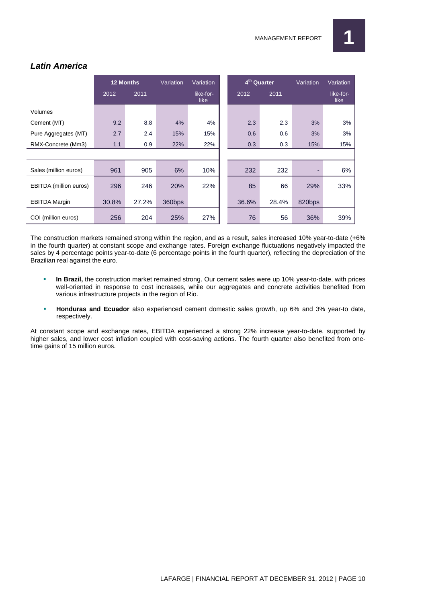

|                        | <b>12 Months</b> |       | Variation | Variation         |  | 4 <sup>th</sup> Quarter |       | Variation | Variation         |
|------------------------|------------------|-------|-----------|-------------------|--|-------------------------|-------|-----------|-------------------|
|                        | 2012             | 2011  |           | like-for-<br>like |  | 2012                    | 2011  |           | like-for-<br>like |
| Volumes                |                  |       |           |                   |  |                         |       |           |                   |
| Cement (MT)            | 9.2              | 8.8   | 4%        | 4%                |  | 2.3                     | 2.3   | 3%        | 3%                |
| Pure Aggregates (MT)   | 2.7              | 2.4   | 15%       | 15%               |  | 0.6                     | 0.6   | 3%        | 3%                |
| RMX-Concrete (Mm3)     | 1.1              | 0.9   | 22%       | 22%               |  | 0.3                     | 0.3   | 15%       | 15%               |
|                        |                  |       |           |                   |  |                         |       |           |                   |
| Sales (million euros)  | 961              | 905   | 6%        | 10%               |  | 232                     | 232   | Ξ.        | 6%                |
| EBITDA (million euros) | 296              | 246   | 20%       | 22%               |  | 85                      | 66    | 29%       | 33%               |
| <b>EBITDA Margin</b>   | 30.8%            | 27.2% | 360bps    |                   |  | 36.6%                   | 28.4% | 820bps    |                   |
| COI (million euros)    | 256              | 204   | 25%       | 27%               |  | 76                      | 56    | 36%       | 39%               |

#### **Latin America**

The construction markets remained strong within the region, and as a result, sales increased 10% year-to-date (+6% in the fourth quarter) at constant scope and exchange rates. Foreign exchange fluctuations negatively impacted the sales by 4 percentage points year-to-date (6 percentage points in the fourth quarter), reflecting the depreciation of the Brazilian real against the euro.

- **In Brazil,** the construction market remained strong. Our cement sales were up 10% year-to-date, with prices well-oriented in response to cost increases, while our aggregates and concrete activities benefited from various infrastructure projects in the region of Rio.
- **Honduras and Ecuador** also experienced cement domestic sales growth, up 6% and 3% year-to date, respectively.

At constant scope and exchange rates, EBITDA experienced a strong 22% increase year-to-date, supported by higher sales, and lower cost inflation coupled with cost-saving actions. The fourth quarter also benefited from onetime gains of 15 million euros.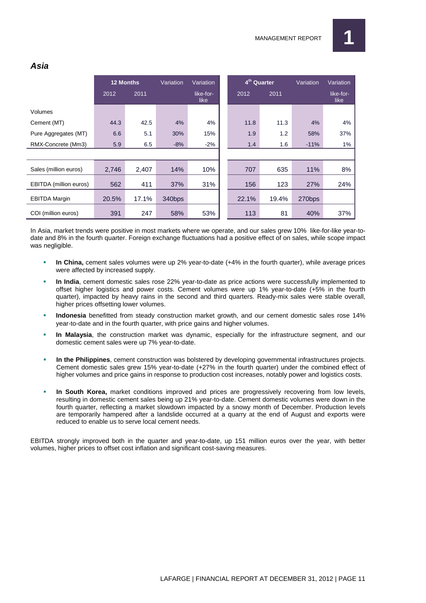|                        | <b>12 Months</b> |       | Variation | Variation         | 4 <sup>th</sup> Quarter |       | Variation | Variation         |
|------------------------|------------------|-------|-----------|-------------------|-------------------------|-------|-----------|-------------------|
|                        | 2012             | 2011  |           | like-for-<br>like | 2012                    | 2011  |           | like-for-<br>like |
| Volumes                |                  |       |           |                   |                         |       |           |                   |
| Cement (MT)            | 44.3             | 42.5  | 4%        | 4%                | 11.8                    | 11.3  | 4%        | 4%                |
| Pure Aggregates (MT)   | 6.6              | 5.1   | 30%       | 15%               | 1.9                     | 1.2   | 58%       | 37%               |
| RMX-Concrete (Mm3)     | 5.9              | 6.5   | $-8%$     | $-2%$             | 1.4                     | 1.6   | $-11%$    | 1%                |
|                        |                  |       |           |                   |                         |       |           |                   |
| Sales (million euros)  | 2,746            | 2,407 | 14%       | 10%               | 707                     | 635   | 11%       | 8%                |
| EBITDA (million euros) | 562              | 411   | 37%       | 31%               | 156                     | 123   | 27%       | 24%               |
| <b>EBITDA Margin</b>   | 20.5%            | 17.1% | 340bps    |                   | 22.1%                   | 19.4% | 270bps    |                   |
| COI (million euros)    | 391              | 247   | 58%       | 53%               | 113                     | 81    | 40%       | 37%               |

In Asia, market trends were positive in most markets where we operate, and our sales grew 10% like-for-like year-todate and 8% in the fourth quarter. Foreign exchange fluctuations had a positive effect of on sales, while scope impact was negligible.

- **In China,** cement sales volumes were up 2% year-to-date (+4% in the fourth quarter), while average prices were affected by increased supply.
- **In India**, cement domestic sales rose 22% year-to-date as price actions were successfully implemented to offset higher logistics and power costs. Cement volumes were up 1% year-to-date (+5% in the fourth quarter), impacted by heavy rains in the second and third quarters. Ready-mix sales were stable overall, higher prices offsetting lower volumes.
- **Indonesia** benefitted from steady construction market growth, and our cement domestic sales rose 14% year-to-date and in the fourth quarter, with price gains and higher volumes.
- **In Malaysia**, the construction market was dynamic, especially for the infrastructure segment, and our domestic cement sales were up 7% year-to-date.
- **In the Philippines**, cement construction was bolstered by developing governmental infrastructures projects. Cement domestic sales grew 15% year-to-date (+27% in the fourth quarter) under the combined effect of higher volumes and price gains in response to production cost increases, notably power and logistics costs.
- **In South Korea,** market conditions improved and prices are progressively recovering from low levels, resulting in domestic cement sales being up 21% year-to-date. Cement domestic volumes were down in the fourth quarter, reflecting a market slowdown impacted by a snowy month of December. Production levels are temporarily hampered after a landslide occurred at a quarry at the end of August and exports were reduced to enable us to serve local cement needs.

EBITDA strongly improved both in the quarter and year-to-date, up 151 million euros over the year, with better volumes, higher prices to offset cost inflation and significant cost-saving measures.

#### **Asia**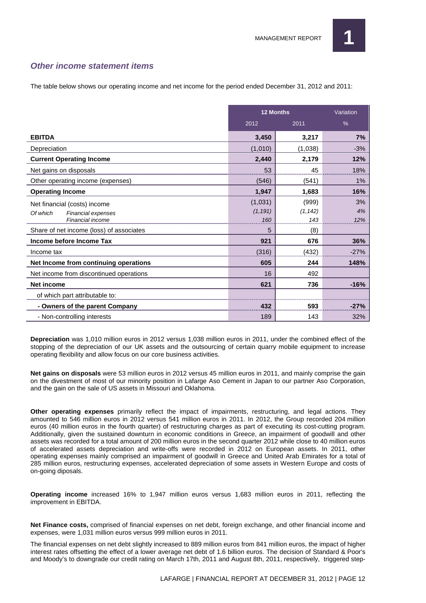

#### **Other income statement items**

The table below shows our operating income and net income for the period ended December 31, 2012 and 2011:

|                                                                                    | <b>12 Months</b>           |                          | Variation       |  |
|------------------------------------------------------------------------------------|----------------------------|--------------------------|-----------------|--|
|                                                                                    | 2012                       | 2011                     | $\%$            |  |
| <b>EBITDA</b>                                                                      | 3,450                      | 3,217                    | 7%              |  |
| Depreciation                                                                       | (1,010)                    | (1,038)                  | $-3%$           |  |
| <b>Current Operating Income</b>                                                    | 2,440                      | 2,179                    | 12%             |  |
| Net gains on disposals                                                             | 53                         | 45                       | 18%             |  |
| Other operating income (expenses)                                                  | (546)                      | (541)                    | 1%              |  |
| <b>Operating Income</b>                                                            | 1,947                      | 1,683                    | 16%             |  |
| Net financial (costs) income<br>Of which<br>Financial expenses<br>Financial income | (1,031)<br>(1, 191)<br>160 | (999)<br>(1, 142)<br>143 | 3%<br>4%<br>12% |  |
| Share of net income (loss) of associates                                           | 5                          | (8)                      |                 |  |
| Income before Income Tax                                                           | 921                        | 676                      | 36%             |  |
| Income tax                                                                         | (316)                      | (432)                    | $-27%$          |  |
| Net Income from continuing operations                                              | 605                        | 244                      | 148%            |  |
| Net income from discontinued operations                                            | 16                         | 492                      |                 |  |
| Net income                                                                         | 621                        | 736                      | $-16%$          |  |
| of which part attributable to:                                                     |                            |                          |                 |  |
| - Owners of the parent Company                                                     | 432                        | 593                      | $-27%$          |  |
| - Non-controlling interests                                                        | 189                        | 143                      | 32%             |  |

**Depreciation** was 1,010 million euros in 2012 versus 1,038 million euros in 2011, under the combined effect of the stopping of the depreciation of our UK assets and the outsourcing of certain quarry mobile equipment to increase operating flexibility and allow focus on our core business activities.

**Net gains on disposals** were 53 million euros in 2012 versus 45 million euros in 2011, and mainly comprise the gain on the divestment of most of our minority position in Lafarge Aso Cement in Japan to our partner Aso Corporation, and the gain on the sale of US assets in Missouri and Oklahoma.

**Other operating expenses** primarily reflect the impact of impairments, restructuring, and legal actions. They amounted to 546 million euros in 2012 versus 541 million euros in 2011. In 2012, the Group recorded 204 million euros (40 million euros in the fourth quarter) of restructuring charges as part of executing its cost-cutting program. Additionally, given the sustained downturn in economic conditions in Greece, an impairment of goodwill and other assets was recorded for a total amount of 200 million euros in the second quarter 2012 while close to 40 million euros of accelerated assets depreciation and write-offs were recorded in 2012 on European assets. In 2011, other operating expenses mainly comprised an impairment of goodwill in Greece and United Arab Emirates for a total of 285 million euros, restructuring expenses, accelerated depreciation of some assets in Western Europe and costs of on-going diposals.

**Operating income** increased 16% to 1,947 million euros versus 1,683 million euros in 2011, reflecting the improvement in EBITDA.

**Net Finance costs,** comprised of financial expenses on net debt, foreign exchange, and other financial income and expenses, were 1,031 million euros versus 999 million euros in 2011.

The financial expenses on net debt slightly increased to 889 million euros from 841 million euros, the impact of higher interest rates offsetting the effect of a lower average net debt of 1.6 billion euros. The decision of Standard & Poor's and Moody's to downgrade our credit rating on March 17th, 2011 and August 8th, 2011, respectively, triggered step-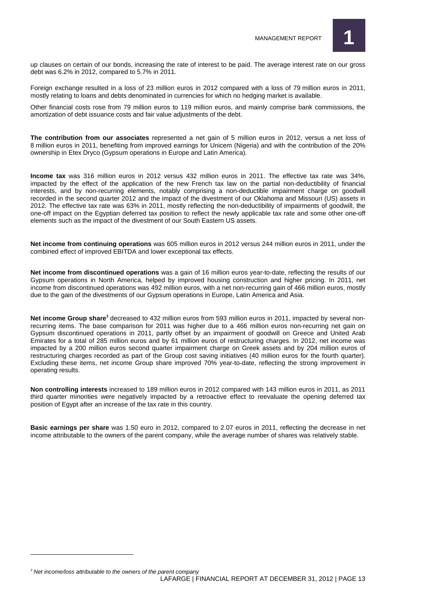

up clauses on certain of our bonds, increasing the rate of interest to be paid. The average interest rate on our gross debt was 6.2% in 2012, compared to 5.7% in 2011.

Foreign exchange resulted in a loss of 23 million euros in 2012 compared with a loss of 79 million euros in 2011, mostly relating to loans and debts denominated in currencies for which no hedging market is available.

Other financial costs rose from 79 million euros to 119 million euros, and mainly comprise bank commissions, the amortization of debt issuance costs and fair value adjustments of the debt.

**The contribution from our associates** represented a net gain of 5 million euros in 2012, versus a net loss of 8 million euros in 2011, benefiting from improved earnings for Unicem (Nigeria) and with the contribution of the 20% ownership in Etex Dryco (Gypsum operations in Europe and Latin America).

**Income tax** was 316 million euros in 2012 versus 432 million euros in 2011. The effective tax rate was 34%, impacted by the effect of the application of the new French tax law on the partial non-deductibility of financial interests, and by non-recurring elements, notably comprising a non-deductible impairment charge on goodwill recorded in the second quarter 2012 and the impact of the divestment of our Oklahoma and Missouri (US) assets in 2012. The effective tax rate was 63% in 2011, mostly reflecting the non-deductibility of impairments of goodwill, the one-off impact on the Egyptian deferred tax position to reflect the newly applicable tax rate and some other one-off elements such as the impact of the divestment of our South Eastern US assets.

**Net income from continuing operations** was 605 million euros in 2012 versus 244 million euros in 2011, under the combined effect of improved EBITDA and lower exceptional tax effects.

**Net income from discontinued operations** was a gain of 16 million euros year-to-date, reflecting the results of our Gypsum operations in North America, helped by improved housing construction and higher pricing. In 2011, net income from discontinued operations was 492 million euros, with a net non-recurring gain of 466 million euros, mostly due to the gain of the divestments of our Gypsum operations in Europe, Latin America and Asia.

**Net income Group share<sup>3</sup>** decreased to 432 million euros from 593 million euros in 2011, impacted by several nonrecurring items. The base comparison for 2011 was higher due to a 466 million euros non-recurring net gain on Gypsum discontinued operations in 2011, partly offset by an impairment of goodwill on Greece and United Arab Emirates for a total of 285 million euros and by 61 million euros of restructuring charges. In 2012, net income was impacted by a 200 million euros second quarter impairment charge on Greek assets and by 204 million euros of restructuring charges recorded as part of the Group cost saving initiatives (40 million euros for the fourth quarter). Excluding these items, net income Group share improved 70% year-to-date, reflecting the strong improvement in operating results.

**Non controlling interests** increased to 189 million euros in 2012 compared with 143 million euros in 2011, as 2011 third quarter minorities were negatively impacted by a retroactive effect to reevaluate the opening deferred tax position of Egypt after an increase of the tax rate in this country.

**Basic earnings per share** was 1.50 euro in 2012, compared to 2.07 euros in 2011, reflecting the decrease in net income attributable to the owners of the parent company, while the average number of shares was relatively stable.

 $3$  Net income/loss attributable to the owners of the parent company

 $\overline{a}$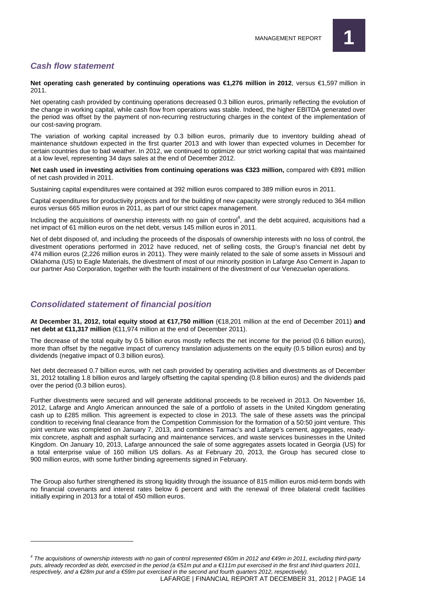

#### **Cash flow statement**

 $\overline{a}$ 

**Net operating cash generated by continuing operations was €1,276 million in 2012**, versus €1,597 million in 2011.

Net operating cash provided by continuing operations decreased 0.3 billion euros, primarily reflecting the evolution of the change in working capital, while cash flow from operations was stable. Indeed, the higher EBITDA generated over the period was offset by the payment of non-recurring restructuring charges in the context of the implementation of our cost-saving program.

The variation of working capital increased by 0.3 billion euros, primarily due to inventory building ahead of maintenance shutdown expected in the first quarter 2013 and with lower than expected volumes in December for certain countries due to bad weather. In 2012, we continued to optimize our strict working capital that was maintained at a low level, representing 34 days sales at the end of December 2012.

**Net cash used in investing activities from continuing operations was €323 million, compared with €891 million** of net cash provided in 2011.

Sustaining capital expenditures were contained at 392 million euros compared to 389 million euros in 2011.

Capital expenditures for productivity projects and for the building of new capacity were strongly reduced to 364 million euros versus 665 million euros in 2011, as part of our strict capex management.

Including the acquisitions of ownership interests with no gain of control<sup>4</sup>, and the debt acquired, acquisitions had a net impact of 61 million euros on the net debt, versus 145 million euros in 2011.

Net of debt disposed of, and including the proceeds of the disposals of ownership interests with no loss of control, the divestment operations performed in 2012 have reduced, net of selling costs, the Group's financial net debt by 474 million euros (2,226 million euros in 2011). They were mainly related to the sale of some assets in Missouri and Oklahoma (US) to Eagle Materials, the divestment of most of our minority position in Lafarge Aso Cement in Japan to our partner Aso Corporation, together with the fourth instalment of the divestment of our Venezuelan operations.

#### **Consolidated statement of financial position**

**At December 31, 2012, total equity stood at €17,750 million** (€18,201 million at the end of December 2011) **and net debt at €11,317 million** (€11,974 million at the end of December 2011).

The decrease of the total equity by 0.5 billion euros mostly reflects the net income for the period (0.6 billion euros), more than offset by the negative impact of currency translation adjustements on the equity (0.5 billion euros) and by dividends (negative impact of 0.3 billion euros).

Net debt decreased 0.7 billion euros, with net cash provided by operating activities and divestments as of December 31, 2012 totalling 1.8 billion euros and largely offsetting the capital spending (0.8 billion euros) and the dividends paid over the period (0.3 billion euros).

Further divestments were secured and will generate additional proceeds to be received in 2013. On November 16, 2012, Lafarge and Anglo American announced the sale of a portfolio of assets in the United Kingdom generating cash up to £285 million. This agreement is expected to close in 2013. The sale of these assets was the principal condition to receiving final clearance from the Competition Commission for the formation of a 50:50 joint venture. This joint venture was completed on January 7, 2013, and combines Tarmac's and Lafarge's cement, aggregates, readymix concrete, asphalt and asphalt surfacing and maintenance services, and waste services businesses in the United Kingdom. On January 10, 2013, Lafarge announced the sale of some aggregates assets located in Georgia (US) for a total enterprise value of 160 million US dollars. As at February 20, 2013, the Group has secured close to 900 million euros, with some further binding agreements signed in February.

The Group also further strengthened its strong liquidity through the issuance of 815 million euros mid-term bonds with no financial covenants and interest rates below 6 percent and with the renewal of three bilateral credit facilities initially expiring in 2013 for a total of 450 million euros.

<sup>&</sup>lt;sup>4</sup> The acquisitions of ownership interests with no gain of control represented €60m in 2012 and €49m in2011, excluding third-party puts, already recorded as debt, exercised in the period (a €51m put and a €111m put exercised in the frst and third quarters 2011, respectively, and a €28m put and a €59m put exercised in the second and fourth quarters 2012, respectively).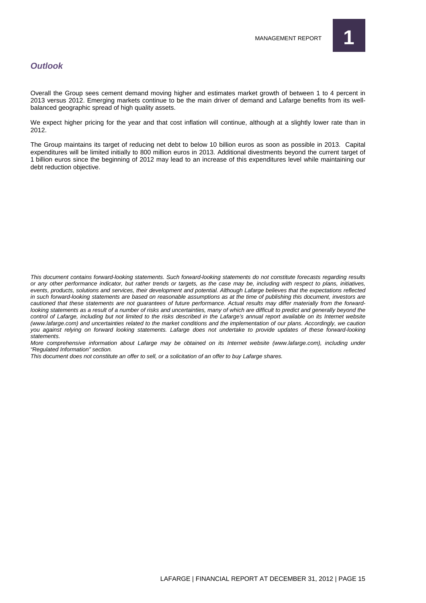

#### **Outlook**

Overall the Group sees cement demand moving higher and estimates market growth of between 1 to 4 percent in 2013 versus 2012. Emerging markets continue to be the main driver of demand and Lafarge benefits from its wellbalanced geographic spread of high quality assets.

We expect higher pricing for the year and that cost inflation will continue, although at a slightly lower rate than in 2012.

The Group maintains its target of reducing net debt to below 10 billion euros as soon as possible in 2013. Capital expenditures will be limited initially to 800 million euros in 2013. Additional divestments beyond the current target of 1 billion euros since the beginning of 2012 may lead to an increase of this expenditures level while maintaining our debt reduction objective.

This document contains forward-looking statements. Such forward-looking statements do not constitute forecasts regarding results or any other performance indicator, but rather trends or targets, as the case may be, including with respect to plans, initiatives, events, products, solutions and services, their development and potential. Although Lafarge believes that the expectations reflected in such forward-looking statements are based on reasonable assumptions as at the time of publishing this document, investors are cautioned that these statements are not guarantees of future performance. Actual results may differ materially from the forwardlooking statements as a result of a number of risks and uncertainties, many of which are difficult to predict and generally beyond the control of Lafarge, including but not limited to the risks described in the Lafarge's annual report available on its Internet website (www.lafarge.com) and uncertainties related to the market conditions and the implementation of our plans. Accordingly, we caution you against relying on forward looking statements. Lafarge does not undertake to provide updates of these forward-looking statements.

More comprehensive information about Lafarge may be obtained on its Internet website (www.lafarge.com), including under "Regulated Information" section.

This document does not constitute an offer to sell, or a solicitation of an offer to buy Lafarge shares.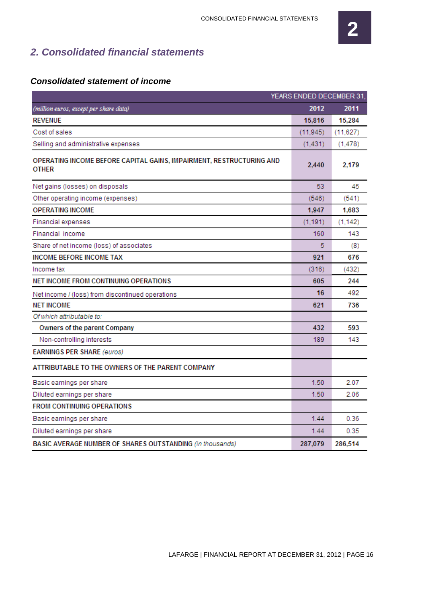#### **2. Consolidated financial statements**

#### YEARS ENDED DECEMBER 31, (million euros, except per share data) 2012 2011 **REVENUE** 15,816 15.284 Cost of sales  $(11.945)$  $(11,627)$ Selling and administrative expenses  $(1,431)$  $(1,478)$ OPERATING INCOME BEFORE CAPITAL GAINS, IMPAIRMENT, RESTRUCTURING AND 2,440 2,179 **OTHER** 53 45 Net gains (losses) on disposals Other operating income (expenses)  $(546)$  $(541)$ **OPERATING INCOME** 1,947 1,683 Financial expenses  $(1.191)$  $(1, 142)$ Financial income 160 143 Share of net income (loss) of associates 5  $(8)$ **INCOME BEFORE INCOME TAX** 921 676 Income tax  $(316)$  $(432)$ NET INCOME FROM CONTINUING OPERATIONS 605 244 16 492 Net income / (loss) from discontinued operations **NET INCOME** 621 736 Of which attributable to: Owners of the parent Company 432 593 Non-controlling interests 189 143 **EARNINGS PER SHARE (euros)** ATTRIBUTABLE TO THE OWNERS OF THE PARENT COMPANY 1.50 2.07 Basic earnings per share 1.50 Diluted earnings per share 2.06 **FROM CONTINUING OPERATIONS** Basic earnings per share  $1.44$ 0.36 0.35 Diluted earnings per share  $1.44$ 287,079 286.514 BASIC AVERAGE NUMBER OF SHARES OUTSTANDING (in thousands)

#### **Consolidated statement of income**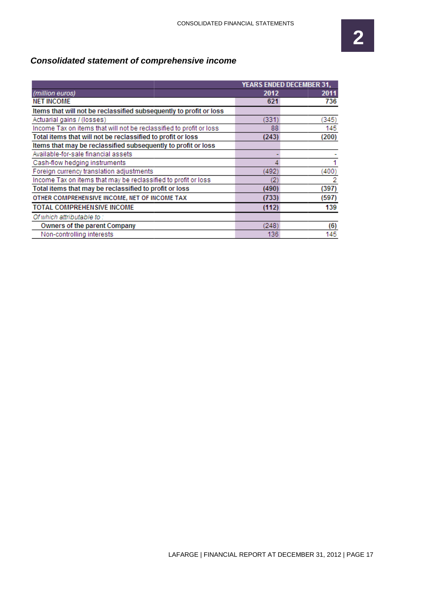#### **Consolidated statement of comprehensive income**

|                                                                     | <b>YEARS ENDED DECEMBER 31,</b> |       |  |  |
|---------------------------------------------------------------------|---------------------------------|-------|--|--|
| (million euros)                                                     | 2012                            | 2011  |  |  |
| <b>NET INCOME</b>                                                   | 621                             | 736   |  |  |
| Items that will not be reclassified subsequently to profit or loss  |                                 |       |  |  |
| Actuarial gains / (losses)                                          | (331)                           | (345) |  |  |
| Income Tax on items that will not be reclassified to profit or loss | 88                              | 145   |  |  |
| Total items that will not be reclassified to profit or loss         | (243)                           | (200) |  |  |
| Items that may be reclassified subsequently to profit or loss       |                                 |       |  |  |
| Available-for-sale financial assets                                 |                                 |       |  |  |
| Cash-flow hedging instruments                                       |                                 |       |  |  |
| Foreign currency translation adjustments                            | (492)                           | (400) |  |  |
| Income Tax on items that may be reclassified to profit or loss      | 2                               | 2     |  |  |
| Total items that may be reclassified to profit or loss              | (490)                           | (397) |  |  |
| OTHER COMPREHENSIVE INCOME, NET OF INCOME TAX                       | (733)                           | (597) |  |  |
| <b>TOTAL COMPREHENSIVE INCOME</b>                                   | (112)                           | 139   |  |  |
| Of which attributable to:                                           |                                 |       |  |  |
| Owners of the parent Company                                        | (248)                           | (6)   |  |  |
| Non-controlling interests                                           | 136                             | 145   |  |  |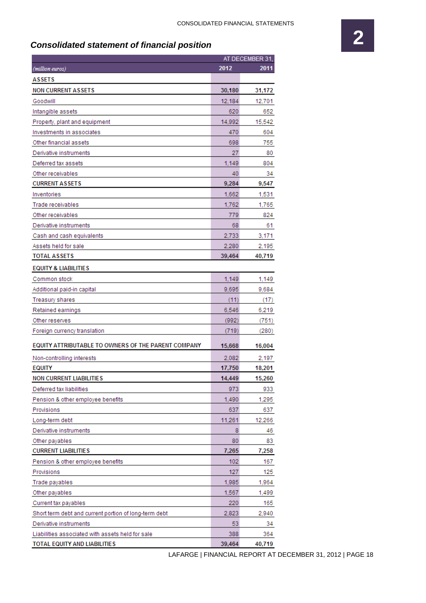#### **Consolidated statement of financial position**

|                                                       | AT DECEMBER 31, |        |  |
|-------------------------------------------------------|-----------------|--------|--|
| (million euros)                                       | 2012            | 2011   |  |
| <b>ASSETS</b>                                         |                 |        |  |
| <b>NON CURRENT ASSETS</b>                             | 30,180          | 31,172 |  |
| Goodwill                                              | 12,184          | 12,701 |  |
| Intangible assets                                     | 620             | 652    |  |
| Property, plant and equipment                         | 14,992          | 15,542 |  |
| Investments in associates                             | 470             | 604    |  |
| Other financial assets                                | 698             | 755    |  |
| Derivative instruments                                | 27              | 80     |  |
| Deferred tax assets                                   | 1,149           | 804    |  |
| Other receivables                                     | 40              | 34     |  |
| <b>CURRENT ASSETS</b>                                 | 9,284           | 9,547  |  |
| Inventories                                           | 1,662           | 1,531  |  |
| Trade receivables                                     | 1,762           | 1,765  |  |
| Other receivables                                     | 779             | 824    |  |
| Derivative instruments                                | 68              | 61     |  |
| Cash and cash equivalents                             | 2,733           | 3,171  |  |
| Assets held for sale                                  | 2,280           | 2,195  |  |
| <b>TOTAL ASSETS</b>                                   | 39,464          | 40,719 |  |
| <b>EQUITY &amp; LIABILITIES</b>                       |                 |        |  |
| Common stock                                          | 1,149           | 1,149  |  |
| Additional paid-in capital                            | 9,695           | 9,684  |  |
| <b>Treasury shares</b>                                | (11)            | (17)   |  |
| Retained earnings                                     | 6,546           | 6,219  |  |
| Other reserves                                        | (992)           | (751)  |  |
| Foreign currency translation                          | (719)           | (280)  |  |
| EQUITY ATTRIBUTABLE TO OWNERS OF THE PARENT COMPANY   | 15,668          | 16,004 |  |
| Non-controlling interests                             | 2,082           | 2,197  |  |
| <b>EQUITY</b>                                         | 17,750          | 18,201 |  |
| <b>NON CURRENT LIABILITIES</b>                        | 14,449          | 15,260 |  |
| Deferred tax liabilities                              | 973             | 933    |  |
| Pension & other employee benefits                     | 1,490           | 1,295  |  |
| Provisions                                            | 637             | 637    |  |
| Long-term debt                                        | 11,261          | 12,266 |  |
| Derivative instruments                                | 8               | 46     |  |
| Other payables                                        | 80              | 83     |  |
| <b>CURRENT LIABILITIES</b>                            | 7,265           | 7,258  |  |
| Pension & other employee benefits                     | 102             | 167    |  |
| Provisions                                            | 127             | 125    |  |
| Trade payables                                        | 1,985           | 1,964  |  |
| Other payables                                        | 1,567           | 1,499  |  |
| Current tax payables                                  | 220             | 165    |  |
| Short term debt and current portion of long-term debt | 2,823           | 2,940  |  |
| Derivative instruments                                | 53              | 34     |  |
| Liabilities associated with assets held for sale      | 388             | 364    |  |
| TOTAL EQUITY AND LIABILITIES                          | 39,464          | 40,719 |  |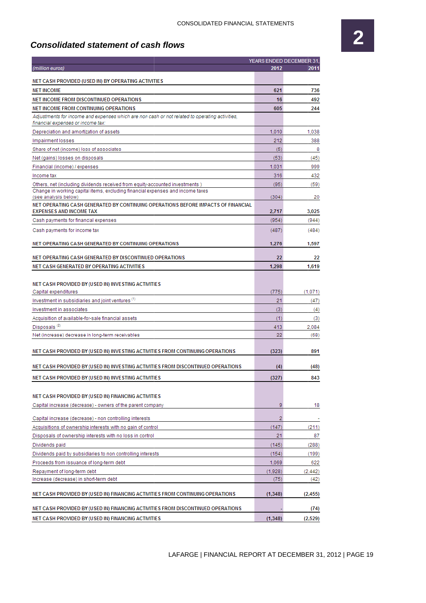## **2**

#### **Consolidated statement of cash flows**

|                                                                                                        |          | YEARS ENDED DECEMBER 31, |
|--------------------------------------------------------------------------------------------------------|----------|--------------------------|
| (million euros)                                                                                        | 2012     | 2011                     |
| NET CASH PROVIDED (USED IN) BY OPERATING ACTIVITIES                                                    |          |                          |
| <b>NET INCOME</b>                                                                                      | 621      | 736                      |
| NET INCOME FROM DISCONTINUED OPERATIONS                                                                | 16       | 492                      |
| NET INCOME FROM CONTINUING OPERATIONS                                                                  | 605      | 244                      |
| Adjustments for income and expenses which are non cash or not related to operating activities,         |          |                          |
| financial expenses or income tax:                                                                      |          |                          |
| Depreciation and amortization of assets                                                                | 1,010    | 1,038                    |
| Impairment losses                                                                                      | 212      | 388                      |
| Share of net (income) loss of associates                                                               | (5)      | 8                        |
| Net (gains) losses on disposals                                                                        | (53)     | (45)                     |
| Financial (income) / expenses                                                                          | 1.031    | 999                      |
| Income tax                                                                                             | 316      | 432                      |
| Others, net (including dividends received from equity-accounted investments)                           | (95)     | (59)                     |
| Change in working capital items, excluding financial expenses and income taxes<br>(see analysis below) | (304)    | 20                       |
| NET OPERATING CASH GENERATED BY CONTINUING OPERATIONS BEFORE IMPACTS OF FINANCIAL                      |          |                          |
| <b>EXPENSES AND INCOME TAX</b>                                                                         | 2,717    | 3.025                    |
| Cash payments for financial expenses                                                                   | (954)    | (944)                    |
| Cash payments for income tax                                                                           | (487)    | (484)                    |
|                                                                                                        |          |                          |
| NET OPERATING CASH GENERATED BY CONTINUING OPERATIONS                                                  | 1,276    | 1,597                    |
| NET OPERATING CASH GENERATED BY DISCONTINUED OPERATIONS                                                | 22       | 22                       |
| NET CASH GENERATED BY OPERATING ACTIVITIES                                                             | 1,298    | 1,619                    |
|                                                                                                        |          |                          |
| NET CASH PROVIDED BY (USED IN) INVESTING ACTIVITIES                                                    |          |                          |
| Capital expenditures                                                                                   | (775)    | (1,071)                  |
| Investment in subsidiaries and joint ventures <sup>(1)</sup>                                           | 21       | (47)                     |
| Investment in associates                                                                               | (3)      | (4)                      |
| Acquisition of available-for-sale financial assets                                                     | (1)      | (3)                      |
| Disposals <sup>(2)</sup>                                                                               | 413      | 2,084                    |
| Net (increase) decrease in long-term receivables                                                       | 22       | (68)                     |
|                                                                                                        |          |                          |
| NET CASH PROVIDED BY (USED IN) INVESTING ACTIVITIES FROM CONTINUING OPERATIONS                         | (323)    | 891                      |
|                                                                                                        |          |                          |
| NET CASH PROVIDED BY (USED IN) INVESTING ACTIVITIES FROM DISCONTINUED OPERATIONS                       | (4)      | (48)                     |
| NET CASH PROVIDED BY (USED IN) INVESTING ACTIVITIES                                                    | (327)    | 843                      |
|                                                                                                        |          |                          |
| NET CASH PROVIDED BY (USED IN) FINANCING ACTIVITIES                                                    |          |                          |
| Capital increase (decrease) - owners of the parent company                                             | 9        | 18                       |
|                                                                                                        |          |                          |
| Capital increase (decrease) - non controlling interests                                                | 2        |                          |
| Acquisitions of ownership interests with no gain of control                                            | (147)    | (211)                    |
| Disposals of ownership interests with no loss in control                                               | 21       | 87                       |
| Dividends paid                                                                                         | (145)    | (288)                    |
| Dividends paid by subsidiaries to non controlling interests                                            | (154)    | (199)                    |
| Proceeds from issuance of long-term debt                                                               | 1,069    | 622                      |
| Repayment of long-term debt                                                                            | (1,928)  | (2, 442)                 |
| Increase (decrease) in short-term debt                                                                 | (75)     | (42)                     |
| NET CASH PROVIDED BY (USED IN) FINANCING ACTIVITIES FROM CONTINUING OPERATIONS                         | (1, 348) | (2, 455)                 |
|                                                                                                        |          |                          |
| NET CASH PROVIDED BY (USED IN) FINANCING ACTIVITIES FROM DISCONTINUED OPERATIONS                       |          | (74)                     |
| NET CASH PROVIDED BY (USED IN) FINANCING ACTIVITIES                                                    | (1, 348) | (2,529)                  |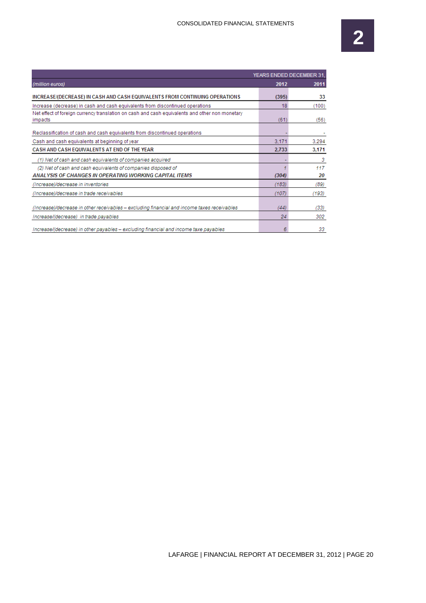|                                                                                                           | YEARS ENDED DECEMBER 31, |       |  |  |
|-----------------------------------------------------------------------------------------------------------|--------------------------|-------|--|--|
| (million euros)                                                                                           | 2012                     | 2011  |  |  |
| INCREASE/(DECREASE) IN CASH AND CASH EQUIVALENTS FROM CONTINUING OPERATIONS                               | (395)                    | 33    |  |  |
| Increase (decrease) in cash and cash equivalents from discontinued operations                             | 18                       | (100) |  |  |
| Net effect of foreign currency translation on cash and cash equivalents and other non monetary<br>impacts | (61)                     | (56)  |  |  |
| Reclassification of cash and cash equivalents from discontinued operations                                |                          |       |  |  |
| Cash and cash equivalents at beginning of year                                                            | 3.171                    | 3.294 |  |  |
| CASH AND CASH EQUIVALENTS AT END OF THE YEAR                                                              |                          | 3.171 |  |  |
| (1) Net of cash and cash equivalents of companies acquired                                                |                          | 3     |  |  |
| (2) Net of cash and cash equivalents of companies disposed of                                             |                          | 117   |  |  |
| ANALYSIS OF CHANGES IN OPERATING WORKING CAPITAL ITEMS                                                    | (304)                    | 20    |  |  |
| (Increase)/decrease in inventories                                                                        | (183)                    | (89)  |  |  |
| (Increase)/decrease in trade receivables                                                                  | (107)                    | (193) |  |  |
| (Increase)/decrease in other receivables - excluding financial and income taxes receivables               | (44)                     | (33)  |  |  |
| Increase/(decrease) in trade payables                                                                     | 24                       | 302   |  |  |
| Increase/(decrease) in other payables - excluding financial and income taxe payables                      | 6                        | 33    |  |  |